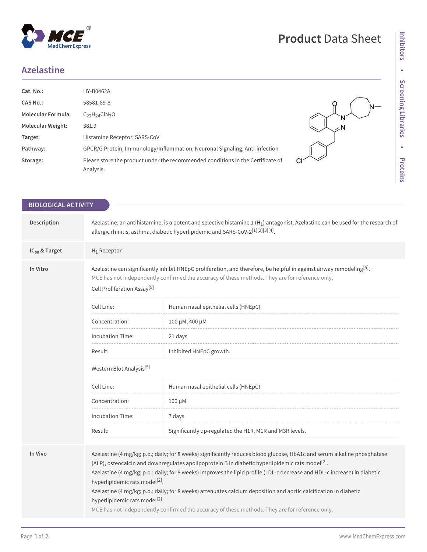## MedChemExpress

 $^{\circledR}$ 

## **Azelastine**

| Cat. No.:                 | <b>HY-B0462A</b>                                                                |  |
|---------------------------|---------------------------------------------------------------------------------|--|
| <b>CAS No.:</b>           | 58581-89-8                                                                      |  |
| <b>Molecular Formula:</b> | $C_{22}H_{24}CIN_{3}O$                                                          |  |
| <b>Molecular Weight:</b>  | 381.9                                                                           |  |
| Target:                   | Histamine Receptor; SARS-CoV                                                    |  |
| Pathway:                  | GPCR/G Protein; Immunology/Inflammation; Neuronal Signaling; Anti-infection     |  |
| Storage:                  | Please store the product under the recommended conditions in the Certificate of |  |
|                           | Analysis.                                                                       |  |

| <b>BIOLOGICAL ACTIVITY</b> |                                                                                                                                                                                                                                                                                 |                                                                                                                                                                                                                                                                                                                                                                                                                                                                                                                                                                                               |  |
|----------------------------|---------------------------------------------------------------------------------------------------------------------------------------------------------------------------------------------------------------------------------------------------------------------------------|-----------------------------------------------------------------------------------------------------------------------------------------------------------------------------------------------------------------------------------------------------------------------------------------------------------------------------------------------------------------------------------------------------------------------------------------------------------------------------------------------------------------------------------------------------------------------------------------------|--|
|                            |                                                                                                                                                                                                                                                                                 |                                                                                                                                                                                                                                                                                                                                                                                                                                                                                                                                                                                               |  |
| Description                | Azelastine, an antihistamine, is a potent and selective histamine 1 (H <sub>1</sub> ) antagonist. Azelastine can be used for the research of<br>allergic rhinitis, asthma, diabetic hyperlipidemic and SARS-CoV-2 <sup>[1][2][3][4]</sup> .                                     |                                                                                                                                                                                                                                                                                                                                                                                                                                                                                                                                                                                               |  |
| $IC_{50}$ & Target         | $H_1$ Receptor                                                                                                                                                                                                                                                                  |                                                                                                                                                                                                                                                                                                                                                                                                                                                                                                                                                                                               |  |
| In Vitro                   | Azelastine can significantly inhibit HNEpC proliferation, and therefore, be helpful in against airway remodeling <sup>[5]</sup> .<br>MCE has not independently confirmed the accuracy of these methods. They are for reference only.<br>Cell Proliferation Assay <sup>[5]</sup> |                                                                                                                                                                                                                                                                                                                                                                                                                                                                                                                                                                                               |  |
|                            | Cell Line:                                                                                                                                                                                                                                                                      | Human nasal epithelial cells (HNEpC)                                                                                                                                                                                                                                                                                                                                                                                                                                                                                                                                                          |  |
|                            | Concentration:                                                                                                                                                                                                                                                                  | 100 μM, 400 μM                                                                                                                                                                                                                                                                                                                                                                                                                                                                                                                                                                                |  |
|                            | <b>Incubation Time:</b>                                                                                                                                                                                                                                                         | 21 days                                                                                                                                                                                                                                                                                                                                                                                                                                                                                                                                                                                       |  |
|                            | Result:                                                                                                                                                                                                                                                                         | Inhibited HNEpC growth.                                                                                                                                                                                                                                                                                                                                                                                                                                                                                                                                                                       |  |
|                            | Western Blot Analysis <sup>[5]</sup>                                                                                                                                                                                                                                            |                                                                                                                                                                                                                                                                                                                                                                                                                                                                                                                                                                                               |  |
|                            | Cell Line:                                                                                                                                                                                                                                                                      | Human nasal epithelial cells (HNEpC)                                                                                                                                                                                                                                                                                                                                                                                                                                                                                                                                                          |  |
|                            | Concentration:                                                                                                                                                                                                                                                                  | 100 μM                                                                                                                                                                                                                                                                                                                                                                                                                                                                                                                                                                                        |  |
|                            | Incubation Time:                                                                                                                                                                                                                                                                | 7 days                                                                                                                                                                                                                                                                                                                                                                                                                                                                                                                                                                                        |  |
|                            | Result:                                                                                                                                                                                                                                                                         | Significantly up-regulated the H1R, M1R and M3R levels.                                                                                                                                                                                                                                                                                                                                                                                                                                                                                                                                       |  |
|                            |                                                                                                                                                                                                                                                                                 |                                                                                                                                                                                                                                                                                                                                                                                                                                                                                                                                                                                               |  |
| In Vivo                    | hyperlipidemic rats model <sup>[2]</sup> .<br>hyperlipidemic rats model <sup>[2]</sup> .                                                                                                                                                                                        | Azelastine (4 mg/kg; p.o.; daily; for 8 weeks) significantly reduces blood glucose, HbA1c and serum alkaline phosphatase<br>(ALP), osteocalcin and downregulates apolipoprotein B in diabetic hyperlipidemic rats model <sup>[2]</sup> .<br>Azelastine (4 mg/kg; p.o.; daily; for 8 weeks) improves the lipid profile (LDL-c decrease and HDL-c increase) in diabetic<br>Azelastine (4 mg/kg; p.o.; daily; for 8 weeks) attenuates calcium deposition and aortic calcification in diabetic<br>MCE has not independently confirmed the accuracy of these methods. They are for reference only. |  |